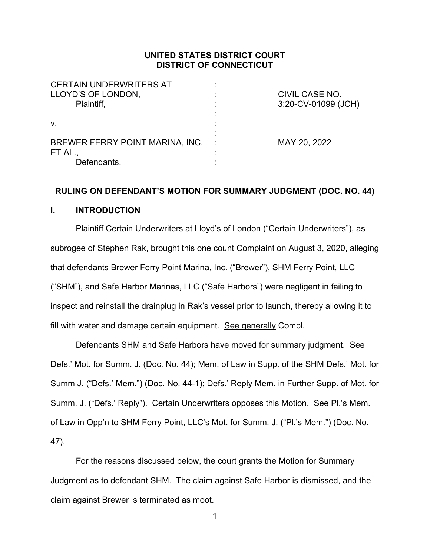# **UNITED STATES DISTRICT COURT DISTRICT OF CONNECTICUT**

| <b>CERTAIN UNDERWRITERS AT</b><br>LLOYD'S OF LONDON,<br>Plaintiff, | <b>CIVIL CASE NO.</b><br>3:20-CV-01099 (JCH) |
|--------------------------------------------------------------------|----------------------------------------------|
| V.                                                                 |                                              |
| BREWER FERRY POINT MARINA, INC.<br>ET AL.<br>Defendants.           | MAY 20, 2022                                 |

#### **RULING ON DEFENDANT'S MOTION FOR SUMMARY JUDGMENT (DOC. NO. 44)**

### **I. INTRODUCTION**

Plaintiff Certain Underwriters at Lloyd's of London ("Certain Underwriters"), as subrogee of Stephen Rak, brought this one count Complaint on August 3, 2020, alleging that defendants Brewer Ferry Point Marina, Inc. ("Brewer"), SHM Ferry Point, LLC ("SHM"), and Safe Harbor Marinas, LLC ("Safe Harbors") were negligent in failing to inspect and reinstall the drainplug in Rak's vessel prior to launch, thereby allowing it to fill with water and damage certain equipment. See generally Compl.

Defendants SHM and Safe Harbors have moved for summary judgment. See Defs.' Mot. for Summ. J. (Doc. No. 44); Mem. of Law in Supp. of the SHM Defs.' Mot. for Summ J. ("Defs.' Mem.") (Doc. No. 44-1); Defs.' Reply Mem. in Further Supp. of Mot. for Summ. J. ("Defs.' Reply"). Certain Underwriters opposes this Motion. See Pl.'s Mem. of Law in Opp'n to SHM Ferry Point, LLC's Mot. for Summ. J. ("Pl.'s Mem.") (Doc. No. 47).

For the reasons discussed below, the court grants the Motion for Summary Judgment as to defendant SHM. The claim against Safe Harbor is dismissed, and the claim against Brewer is terminated as moot.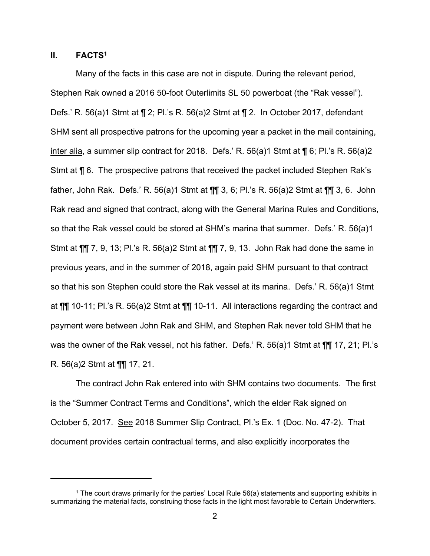# **II. FACTS1**

Many of the facts in this case are not in dispute. During the relevant period, Stephen Rak owned a 2016 50-foot Outerlimits SL 50 powerboat (the "Rak vessel"). Defs.' R. 56(a)1 Stmt at ¶ 2; Pl.'s R. 56(a)2 Stmt at ¶ 2. In October 2017, defendant SHM sent all prospective patrons for the upcoming year a packet in the mail containing, inter alia, a summer slip contract for 2018. Defs.' R. 56(a)1 Stmt at ¶ 6; Pl.'s R. 56(a)2 Stmt at ¶ 6. The prospective patrons that received the packet included Stephen Rak's father, John Rak. Defs.' R. 56(a)1 Stmt at ¶¶ 3, 6; Pl.'s R. 56(a)2 Stmt at ¶¶ 3, 6. John Rak read and signed that contract, along with the General Marina Rules and Conditions, so that the Rak vessel could be stored at SHM's marina that summer. Defs.' R. 56(a)1 Stmt at ¶¶ 7, 9, 13; Pl.'s R. 56(a)2 Stmt at ¶¶ 7, 9, 13. John Rak had done the same in previous years, and in the summer of 2018, again paid SHM pursuant to that contract so that his son Stephen could store the Rak vessel at its marina. Defs.' R. 56(a)1 Stmt at ¶¶ 10-11; Pl.'s R. 56(a)2 Stmt at ¶¶ 10-11. All interactions regarding the contract and payment were between John Rak and SHM, and Stephen Rak never told SHM that he was the owner of the Rak vessel, not his father. Defs.' R. 56(a)1 Stmt at ¶¶ 17, 21; Pl.'s R. 56(a)2 Stmt at ¶¶ 17, 21.

The contract John Rak entered into with SHM contains two documents. The first is the "Summer Contract Terms and Conditions", which the elder Rak signed on October 5, 2017. See 2018 Summer Slip Contract, Pl.'s Ex. 1 (Doc. No. 47-2). That document provides certain contractual terms, and also explicitly incorporates the

<sup>&</sup>lt;sup>1</sup> The court draws primarily for the parties' Local Rule  $56(a)$  statements and supporting exhibits in summarizing the material facts, construing those facts in the light most favorable to Certain Underwriters.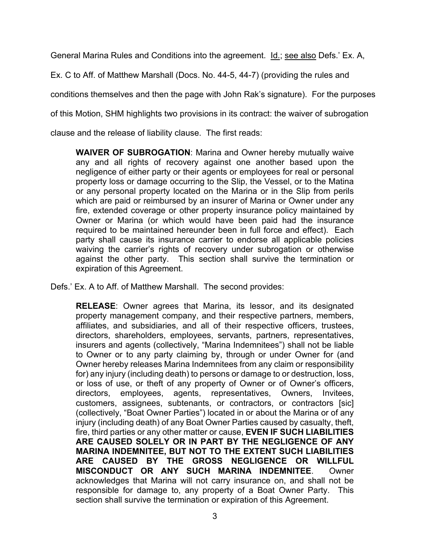General Marina Rules and Conditions into the agreement. Id.; see also Defs.' Ex. A,

Ex. C to Aff. of Matthew Marshall (Docs. No. 44-5, 44-7) (providing the rules and

conditions themselves and then the page with John Rak's signature). For the purposes

of this Motion, SHM highlights two provisions in its contract: the waiver of subrogation

clause and the release of liability clause. The first reads:

**WAIVER OF SUBROGATION**: Marina and Owner hereby mutually waive any and all rights of recovery against one another based upon the negligence of either party or their agents or employees for real or personal property loss or damage occurring to the Slip, the Vessel, or to the Matina or any personal property located on the Marina or in the Slip from perils which are paid or reimbursed by an insurer of Marina or Owner under any fire, extended coverage or other property insurance policy maintained by Owner or Marina (or which would have been paid had the insurance required to be maintained hereunder been in full force and effect). Each party shall cause its insurance carrier to endorse all applicable policies waiving the carrier's rights of recovery under subrogation or otherwise against the other party. This section shall survive the termination or expiration of this Agreement.

Defs.' Ex. A to Aff. of Matthew Marshall. The second provides:

**RELEASE**: Owner agrees that Marina, its lessor, and its designated property management company, and their respective partners, members, affiliates, and subsidiaries, and all of their respective officers, trustees, directors, shareholders, employees, servants, partners, representatives, insurers and agents (collectively, "Marina Indemnitees") shall not be liable to Owner or to any party claiming by, through or under Owner for (and Owner hereby releases Marina Indemnitees from any claim or responsibility for) any injury (including death) to persons or damage to or destruction, loss, or loss of use, or theft of any property of Owner or of Owner's officers, directors, employees, agents, representatives, Owners, Invitees, customers, assignees, subtenants, or contractors, or contractors [sic] (collectively, "Boat Owner Parties") located in or about the Marina or of any injury (including death) of any Boat Owner Parties caused by casualty, theft, fire, third parties or any other matter or cause, **EVEN IF SUCH LIABILITIES ARE CAUSED SOLELY OR IN PART BY THE NEGLIGENCE OF ANY MARINA INDEMNITEE, BUT NOT TO THE EXTENT SUCH LIABILITIES ARE CAUSED BY THE GROSS NEGLIGENCE OR WILLFUL MISCONDUCT OR ANY SUCH MARINA INDEMNITEE**. Owner acknowledges that Marina will not carry insurance on, and shall not be responsible for damage to, any property of a Boat Owner Party. This section shall survive the termination or expiration of this Agreement.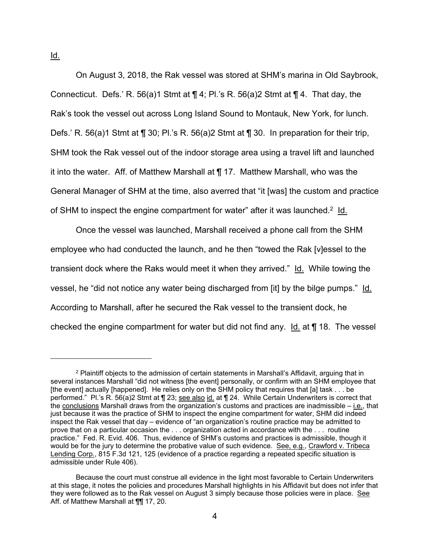On August 3, 2018, the Rak vessel was stored at SHM's marina in Old Saybrook, Connecticut. Defs.' R. 56(a)1 Stmt at  $\P$  4; Pl.'s R. 56(a)2 Stmt at  $\P$  4. That day, the Rak's took the vessel out across Long Island Sound to Montauk, New York, for lunch. Defs.' R. 56(a)1 Stmt at  $\P$  30; Pl.'s R. 56(a)2 Stmt at  $\P$  30. In preparation for their trip, SHM took the Rak vessel out of the indoor storage area using a travel lift and launched it into the water. Aff. of Matthew Marshall at ¶ 17. Matthew Marshall, who was the General Manager of SHM at the time, also averred that "it [was] the custom and practice of SHM to inspect the engine compartment for water" after it was launched.<sup>2</sup> Id.

Once the vessel was launched, Marshall received a phone call from the SHM employee who had conducted the launch, and he then "towed the Rak [v]essel to the transient dock where the Raks would meet it when they arrived." Id. While towing the vessel, he "did not notice any water being discharged from [it] by the bilge pumps." Id. According to Marshall, after he secured the Rak vessel to the transient dock, he checked the engine compartment for water but did not find any. Id. at ¶ 18. The vessel

Id.

 $2$  Plaintiff objects to the admission of certain statements in Marshall's Affidavit, arguing that in several instances Marshall "did not witness [the event] personally, or confirm with an SHM employee that [the event] actually [happened]. He relies only on the SHM policy that requires that [a] task . . . be performed." Pl.'s R. 56(a)2 Stmt at | 23; see also id. at | 24. While Certain Underwriters is correct that the conclusions Marshall draws from the organization's customs and practices are inadmissible – i.e., that just because it was the practice of SHM to inspect the engine compartment for water, SHM did indeed inspect the Rak vessel that day – evidence of "an organization's routine practice may be admitted to prove that on a particular occasion the . . . organization acted in accordance with the . . . routine practice." Fed. R. Evid. 406. Thus, evidence of SHM's customs and practices is admissible, though it would be for the jury to determine the probative value of such evidence. See, e.g., Crawford v. Tribeca Lending Corp., 815 F.3d 121, 125 (evidence of a practice regarding a repeated specific situation is admissible under Rule 406).

Because the court must construe all evidence in the light most favorable to Certain Underwriters at this stage, it notes the policies and procedures Marshall highlights in his Affidavit but does not infer that they were followed as to the Rak vessel on August 3 simply because those policies were in place. See Aff. of Matthew Marshall at ¶¶ 17, 20.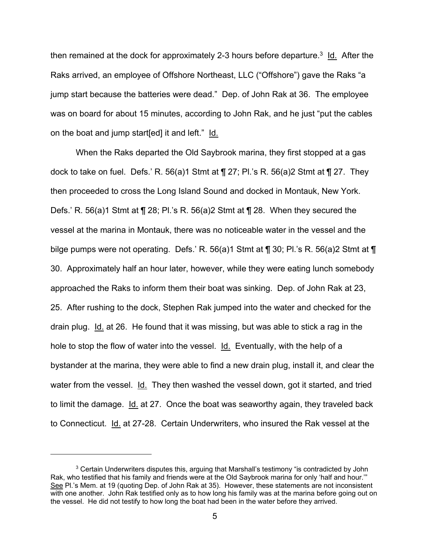then remained at the dock for approximately 2-3 hours before departure.<sup>3</sup> Id. After the Raks arrived, an employee of Offshore Northeast, LLC ("Offshore") gave the Raks "a jump start because the batteries were dead." Dep. of John Rak at 36. The employee was on board for about 15 minutes, according to John Rak, and he just "put the cables on the boat and jump start[ed] it and left." Id.

When the Raks departed the Old Saybrook marina, they first stopped at a gas dock to take on fuel. Defs.' R. 56(a)1 Stmt at  $\P$  27; Pl.'s R. 56(a)2 Stmt at  $\P$  27. They then proceeded to cross the Long Island Sound and docked in Montauk, New York. Defs.' R. 56(a)1 Stmt at ¶ 28; Pl.'s R. 56(a)2 Stmt at ¶ 28. When they secured the vessel at the marina in Montauk, there was no noticeable water in the vessel and the bilge pumps were not operating. Defs.' R. 56(a)1 Stmt at ¶ 30; Pl.'s R. 56(a)2 Stmt at ¶ 30. Approximately half an hour later, however, while they were eating lunch somebody approached the Raks to inform them their boat was sinking. Dep. of John Rak at 23, 25. After rushing to the dock, Stephen Rak jumped into the water and checked for the drain plug. Id. at 26. He found that it was missing, but was able to stick a rag in the hole to stop the flow of water into the vessel. Id. Eventually, with the help of a bystander at the marina, they were able to find a new drain plug, install it, and clear the water from the vessel. Id. They then washed the vessel down, got it started, and tried to limit the damage. Id. at 27. Once the boat was seaworthy again, they traveled back to Connecticut. Id. at 27-28. Certain Underwriters, who insured the Rak vessel at the

<sup>&</sup>lt;sup>3</sup> Certain Underwriters disputes this, arguing that Marshall's testimony "is contradicted by John Rak, who testified that his family and friends were at the Old Saybrook marina for only 'half and hour.'" See Pl.'s Mem. at 19 (quoting Dep. of John Rak at 35). However, these statements are not inconsistent with one another. John Rak testified only as to how long his family was at the marina before going out on the vessel. He did not testify to how long the boat had been in the water before they arrived.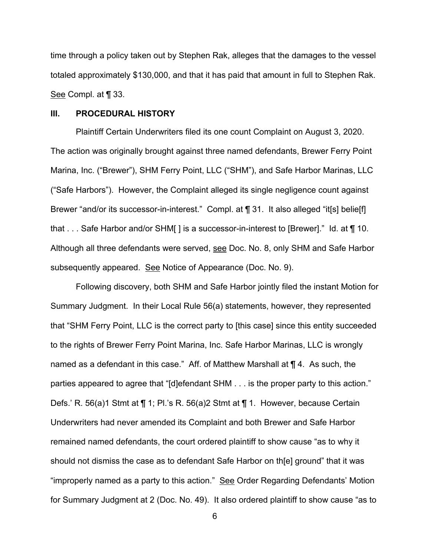time through a policy taken out by Stephen Rak, alleges that the damages to the vessel totaled approximately \$130,000, and that it has paid that amount in full to Stephen Rak. See Compl. at ¶ 33.

#### **III. PROCEDURAL HISTORY**

Plaintiff Certain Underwriters filed its one count Complaint on August 3, 2020. The action was originally brought against three named defendants, Brewer Ferry Point Marina, Inc. ("Brewer"), SHM Ferry Point, LLC ("SHM"), and Safe Harbor Marinas, LLC ("Safe Harbors"). However, the Complaint alleged its single negligence count against Brewer "and/or its successor-in-interest." Compl. at ¶ 31. It also alleged "it[s] belie[f] that . . . Safe Harbor and/or SHM[ ] is a successor-in-interest to [Brewer]." Id. at ¶ 10. Although all three defendants were served, see Doc. No. 8, only SHM and Safe Harbor subsequently appeared. See Notice of Appearance (Doc. No. 9).

Following discovery, both SHM and Safe Harbor jointly filed the instant Motion for Summary Judgment. In their Local Rule 56(a) statements, however, they represented that "SHM Ferry Point, LLC is the correct party to [this case] since this entity succeeded to the rights of Brewer Ferry Point Marina, Inc. Safe Harbor Marinas, LLC is wrongly named as a defendant in this case." Aff. of Matthew Marshall at ¶ 4. As such, the parties appeared to agree that "[d]efendant SHM . . . is the proper party to this action." Defs.' R. 56(a)1 Stmt at ¶ 1; Pl.'s R. 56(a)2 Stmt at ¶ 1. However, because Certain Underwriters had never amended its Complaint and both Brewer and Safe Harbor remained named defendants, the court ordered plaintiff to show cause "as to why it should not dismiss the case as to defendant Safe Harbor on th[e] ground" that it was "improperly named as a party to this action." See Order Regarding Defendants' Motion for Summary Judgment at 2 (Doc. No. 49). It also ordered plaintiff to show cause "as to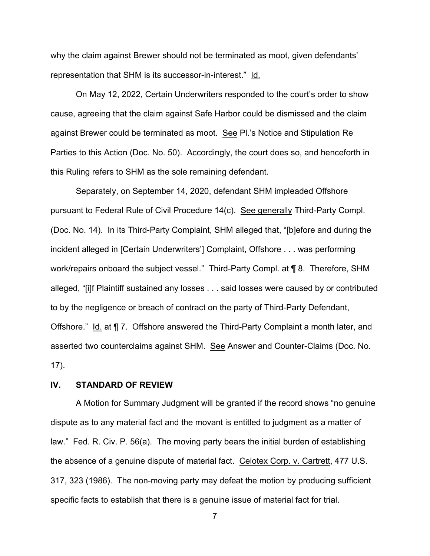why the claim against Brewer should not be terminated as moot, given defendants' representation that SHM is its successor-in-interest." Id.

On May 12, 2022, Certain Underwriters responded to the court's order to show cause, agreeing that the claim against Safe Harbor could be dismissed and the claim against Brewer could be terminated as moot. See Pl.'s Notice and Stipulation Re Parties to this Action (Doc. No. 50). Accordingly, the court does so, and henceforth in this Ruling refers to SHM as the sole remaining defendant.

Separately, on September 14, 2020, defendant SHM impleaded Offshore pursuant to Federal Rule of Civil Procedure 14(c). See generally Third-Party Compl. (Doc. No. 14). In its Third-Party Complaint, SHM alleged that, "[b]efore and during the incident alleged in [Certain Underwriters'] Complaint, Offshore . . . was performing work/repairs onboard the subject vessel." Third-Party Compl. at ¶ 8. Therefore, SHM alleged, "[i]f Plaintiff sustained any losses . . . said losses were caused by or contributed to by the negligence or breach of contract on the party of Third-Party Defendant, Offshore." Id. at ¶ 7. Offshore answered the Third-Party Complaint a month later, and asserted two counterclaims against SHM. See Answer and Counter-Claims (Doc. No. 17).

# **IV. STANDARD OF REVIEW**

A Motion for Summary Judgment will be granted if the record shows "no genuine dispute as to any material fact and the movant is entitled to judgment as a matter of law." Fed. R. Civ. P. 56(a). The moving party bears the initial burden of establishing the absence of a genuine dispute of material fact. Celotex Corp. v. Cartrett, 477 U.S. 317, 323 (1986). The non-moving party may defeat the motion by producing sufficient specific facts to establish that there is a genuine issue of material fact for trial.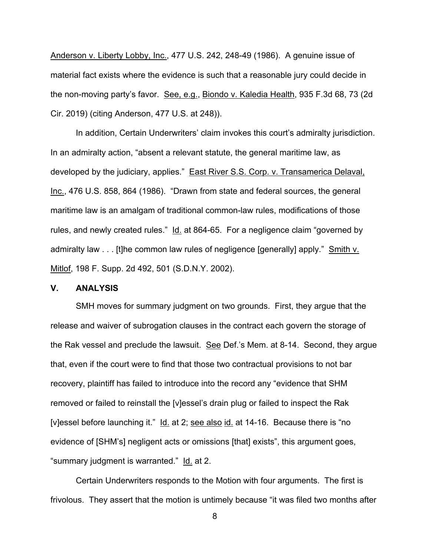Anderson v. Liberty Lobby, Inc., 477 U.S. 242, 248-49 (1986). A genuine issue of material fact exists where the evidence is such that a reasonable jury could decide in the non-moving party's favor. See, e.g., Biondo v. Kaledia Health, 935 F.3d 68, 73 (2d Cir. 2019) (citing Anderson, 477 U.S. at 248)).

In addition, Certain Underwriters' claim invokes this court's admiralty jurisdiction. In an admiralty action, "absent a relevant statute, the general maritime law, as developed by the judiciary, applies." East River S.S. Corp. v. Transamerica Delaval, Inc., 476 U.S. 858, 864 (1986). "Drawn from state and federal sources, the general maritime law is an amalgam of traditional common-law rules, modifications of those rules, and newly created rules." Id. at 864-65. For a negligence claim "governed by admiralty law . . . [t]he common law rules of negligence [generally] apply." Smith v. Mitlof, 198 F. Supp. 2d 492, 501 (S.D.N.Y. 2002).

#### **V. ANALYSIS**

SMH moves for summary judgment on two grounds. First, they argue that the release and waiver of subrogation clauses in the contract each govern the storage of the Rak vessel and preclude the lawsuit. See Def.'s Mem. at 8-14. Second, they argue that, even if the court were to find that those two contractual provisions to not bar recovery, plaintiff has failed to introduce into the record any "evidence that SHM removed or failed to reinstall the [v]essel's drain plug or failed to inspect the Rak [v]essel before launching it." Id. at 2; see also id. at 14-16. Because there is "no evidence of [SHM's] negligent acts or omissions [that] exists", this argument goes, "summary judgment is warranted." Id. at 2.

Certain Underwriters responds to the Motion with four arguments. The first is frivolous. They assert that the motion is untimely because "it was filed two months after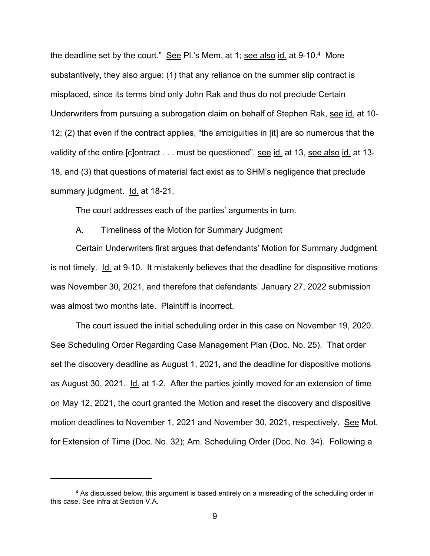the deadline set by the court." See Pl.'s Mem. at 1; see also id. at 9-10.4 More substantively, they also argue: (1) that any reliance on the summer slip contract is misplaced, since its terms bind only John Rak and thus do not preclude Certain Underwriters from pursuing a subrogation claim on behalf of Stephen Rak, see id. at 10- 12; (2) that even if the contract applies, "the ambiguities in [it] are so numerous that the validity of the entire [c]ontract . . . must be questioned", see id. at 13, see also id. at 13-18, and (3) that questions of material fact exist as to SHM's negligence that preclude summary judgment. Id. at 18-21.

The court addresses each of the parties' arguments in turn.

# A. Timeliness of the Motion for Summary Judgment

Certain Underwriters first argues that defendants' Motion for Summary Judgment is not timely. Id. at 9-10. It mistakenly believes that the deadline for dispositive motions was November 30, 2021, and therefore that defendants' January 27, 2022 submission was almost two months late. Plaintiff is incorrect.

The court issued the initial scheduling order in this case on November 19, 2020. See Scheduling Order Regarding Case Management Plan (Doc. No. 25). That order set the discovery deadline as August 1, 2021, and the deadline for dispositive motions as August 30, 2021. Id. at 1-2. After the parties jointly moved for an extension of time on May 12, 2021, the court granted the Motion and reset the discovery and dispositive motion deadlines to November 1, 2021 and November 30, 2021, respectively. See Mot. for Extension of Time (Doc. No. 32); Am. Scheduling Order (Doc. No. 34). Following a

<sup>&</sup>lt;sup>4</sup> As discussed below, this argument is based entirely on a misreading of the scheduling order in this case. See infra at Section V.A.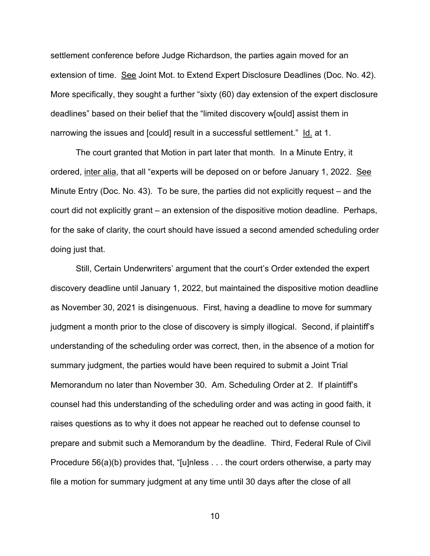settlement conference before Judge Richardson, the parties again moved for an extension of time. See Joint Mot. to Extend Expert Disclosure Deadlines (Doc. No. 42). More specifically, they sought a further "sixty (60) day extension of the expert disclosure deadlines" based on their belief that the "limited discovery w[ould] assist them in narrowing the issues and [could] result in a successful settlement." Id. at 1.

The court granted that Motion in part later that month. In a Minute Entry, it ordered, inter alia, that all "experts will be deposed on or before January 1, 2022. See Minute Entry (Doc. No. 43). To be sure, the parties did not explicitly request – and the court did not explicitly grant – an extension of the dispositive motion deadline. Perhaps, for the sake of clarity, the court should have issued a second amended scheduling order doing just that.

Still, Certain Underwriters' argument that the court's Order extended the expert discovery deadline until January 1, 2022, but maintained the dispositive motion deadline as November 30, 2021 is disingenuous. First, having a deadline to move for summary judgment a month prior to the close of discovery is simply illogical. Second, if plaintiff's understanding of the scheduling order was correct, then, in the absence of a motion for summary judgment, the parties would have been required to submit a Joint Trial Memorandum no later than November 30. Am. Scheduling Order at 2. If plaintiff's counsel had this understanding of the scheduling order and was acting in good faith, it raises questions as to why it does not appear he reached out to defense counsel to prepare and submit such a Memorandum by the deadline. Third, Federal Rule of Civil Procedure 56(a)(b) provides that, "[u]nless . . . the court orders otherwise, a party may file a motion for summary judgment at any time until 30 days after the close of all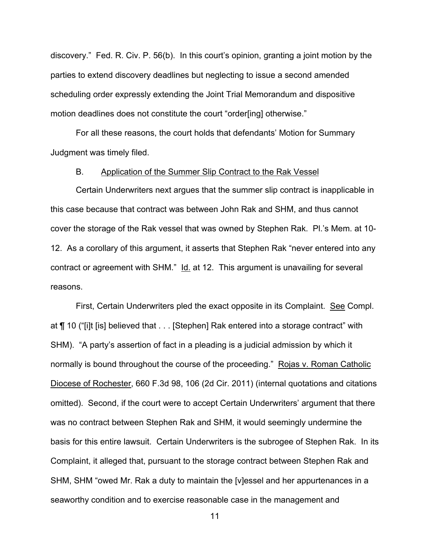discovery." Fed. R. Civ. P. 56(b). In this court's opinion, granting a joint motion by the parties to extend discovery deadlines but neglecting to issue a second amended scheduling order expressly extending the Joint Trial Memorandum and dispositive motion deadlines does not constitute the court "order[ing] otherwise."

For all these reasons, the court holds that defendants' Motion for Summary Judgment was timely filed.

#### B. Application of the Summer Slip Contract to the Rak Vessel

Certain Underwriters next argues that the summer slip contract is inapplicable in this case because that contract was between John Rak and SHM, and thus cannot cover the storage of the Rak vessel that was owned by Stephen Rak. Pl.'s Mem. at 10- 12. As a corollary of this argument, it asserts that Stephen Rak "never entered into any contract or agreement with SHM." Id. at 12. This argument is unavailing for several reasons.

First, Certain Underwriters pled the exact opposite in its Complaint. See Compl. at ¶ 10 ("[i]t [is] believed that . . . [Stephen] Rak entered into a storage contract" with SHM). "A party's assertion of fact in a pleading is a judicial admission by which it normally is bound throughout the course of the proceeding." Rojas v. Roman Catholic Diocese of Rochester, 660 F.3d 98, 106 (2d Cir. 2011) (internal quotations and citations omitted). Second, if the court were to accept Certain Underwriters' argument that there was no contract between Stephen Rak and SHM, it would seemingly undermine the basis for this entire lawsuit. Certain Underwriters is the subrogee of Stephen Rak. In its Complaint, it alleged that, pursuant to the storage contract between Stephen Rak and SHM, SHM "owed Mr. Rak a duty to maintain the [v]essel and her appurtenances in a seaworthy condition and to exercise reasonable case in the management and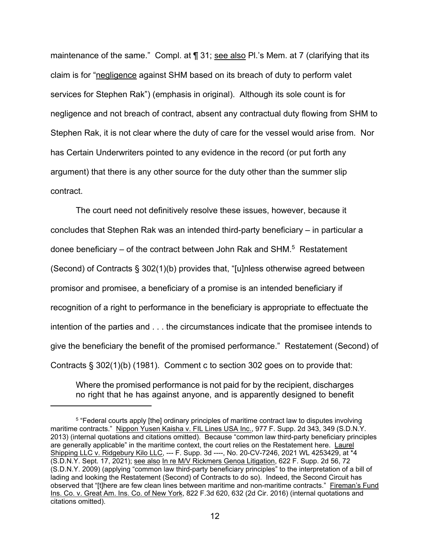maintenance of the same." Compl. at ¶ 31; see also Pl.'s Mem. at 7 (clarifying that its claim is for "negligence against SHM based on its breach of duty to perform valet services for Stephen Rak") (emphasis in original). Although its sole count is for negligence and not breach of contract, absent any contractual duty flowing from SHM to Stephen Rak, it is not clear where the duty of care for the vessel would arise from. Nor has Certain Underwriters pointed to any evidence in the record (or put forth any argument) that there is any other source for the duty other than the summer slip contract.

The court need not definitively resolve these issues, however, because it concludes that Stephen Rak was an intended third-party beneficiary – in particular a donee beneficiary – of the contract between John Rak and SHM. $<sup>5</sup>$  Restatement</sup> (Second) of Contracts § 302(1)(b) provides that, "[u]nless otherwise agreed between promisor and promisee, a beneficiary of a promise is an intended beneficiary if recognition of a right to performance in the beneficiary is appropriate to effectuate the intention of the parties and . . . the circumstances indicate that the promisee intends to give the beneficiary the benefit of the promised performance." Restatement (Second) of Contracts § 302(1)(b) (1981). Comment c to section 302 goes on to provide that:

Where the promised performance is not paid for by the recipient, discharges no right that he has against anyone, and is apparently designed to benefit

<sup>5 &</sup>quot;Federal courts apply [the] ordinary principles of maritime contract law to disputes involving maritime contracts." Nippon Yusen Kaisha v. FIL Lines USA Inc., 977 F. Supp. 2d 343, 349 (S.D.N.Y. 2013) (internal quotations and citations omitted). Because "common law third-party beneficiary principles are generally applicable" in the maritime context, the court relies on the Restatement here. Laurel Shipping LLC v. Ridgebury Kilo LLC, --- F. Supp. 3d ----, No. 20-CV-7246, 2021 WL 4253429, at \*4 (S.D.N.Y. Sept. 17, 2021); see also In re M/V Rickmers Genoa Litigation, 622 F. Supp. 2d 56, 72 (S.D.N.Y. 2009) (applying "common law third-party beneficiary principles" to the interpretation of a bill of lading and looking the Restatement (Second) of Contracts to do so). Indeed, the Second Circuit has observed that "[t]here are few clean lines between maritime and non-maritime contracts." Fireman's Fund Ins. Co. v. Great Am. Ins. Co. of New York, 822 F.3d 620, 632 (2d Cir. 2016) (internal quotations and citations omitted).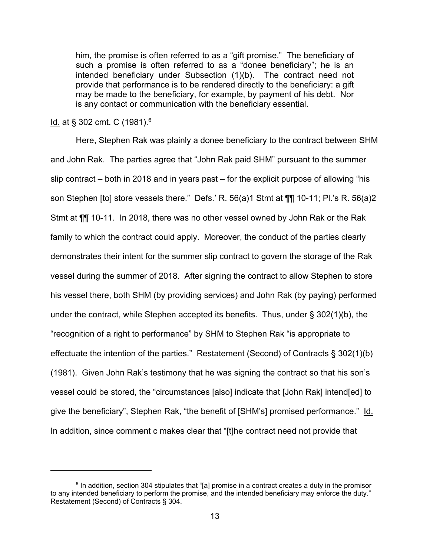him, the promise is often referred to as a "gift promise." The beneficiary of such a promise is often referred to as a "donee beneficiary"; he is an intended beneficiary under Subsection (1)(b). The contract need not provide that performance is to be rendered directly to the beneficiary: a gift may be made to the beneficiary, for example, by payment of his debt. Nor is any contact or communication with the beneficiary essential.

Id. at § 302 cmt. C (1981).6

Here, Stephen Rak was plainly a donee beneficiary to the contract between SHM and John Rak. The parties agree that "John Rak paid SHM" pursuant to the summer slip contract – both in 2018 and in years past – for the explicit purpose of allowing "his son Stephen [to] store vessels there." Defs.' R. 56(a)1 Stmt at ¶¶ 10-11; Pl.'s R. 56(a)2 Stmt at ¶¶ 10-11. In 2018, there was no other vessel owned by John Rak or the Rak family to which the contract could apply. Moreover, the conduct of the parties clearly demonstrates their intent for the summer slip contract to govern the storage of the Rak vessel during the summer of 2018. After signing the contract to allow Stephen to store his vessel there, both SHM (by providing services) and John Rak (by paying) performed under the contract, while Stephen accepted its benefits. Thus, under § 302(1)(b), the "recognition of a right to performance" by SHM to Stephen Rak "is appropriate to effectuate the intention of the parties." Restatement (Second) of Contracts § 302(1)(b) (1981). Given John Rak's testimony that he was signing the contract so that his son's vessel could be stored, the "circumstances [also] indicate that [John Rak] intend[ed] to give the beneficiary", Stephen Rak, "the benefit of [SHM's] promised performance." Id. In addition, since comment c makes clear that "[t]he contract need not provide that

 $6$  In addition, section 304 stipulates that "[a] promise in a contract creates a duty in the promisor to any intended beneficiary to perform the promise, and the intended beneficiary may enforce the duty." Restatement (Second) of Contracts § 304.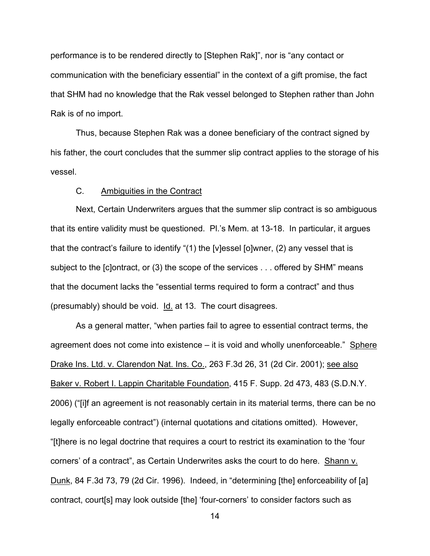performance is to be rendered directly to [Stephen Rak]", nor is "any contact or communication with the beneficiary essential" in the context of a gift promise, the fact that SHM had no knowledge that the Rak vessel belonged to Stephen rather than John Rak is of no import.

Thus, because Stephen Rak was a donee beneficiary of the contract signed by his father, the court concludes that the summer slip contract applies to the storage of his vessel.

### C. Ambiguities in the Contract

Next, Certain Underwriters argues that the summer slip contract is so ambiguous that its entire validity must be questioned. Pl.'s Mem. at 13-18. In particular, it argues that the contract's failure to identify "(1) the [v]essel [o]wner, (2) any vessel that is subject to the [c]ontract, or (3) the scope of the services . . . offered by SHM" means that the document lacks the "essential terms required to form a contract" and thus (presumably) should be void. Id. at 13. The court disagrees.

As a general matter, "when parties fail to agree to essential contract terms, the agreement does not come into existence – it is void and wholly unenforceable." Sphere Drake Ins. Ltd. v. Clarendon Nat. Ins. Co., 263 F.3d 26, 31 (2d Cir. 2001); see also Baker v. Robert I. Lappin Charitable Foundation, 415 F. Supp. 2d 473, 483 (S.D.N.Y. 2006) ("[i]f an agreement is not reasonably certain in its material terms, there can be no legally enforceable contract") (internal quotations and citations omitted). However, "[t]here is no legal doctrine that requires a court to restrict its examination to the 'four corners' of a contract", as Certain Underwrites asks the court to do here. Shann v. Dunk, 84 F.3d 73, 79 (2d Cir. 1996). Indeed, in "determining [the] enforceability of [a] contract, court[s] may look outside [the] 'four-corners' to consider factors such as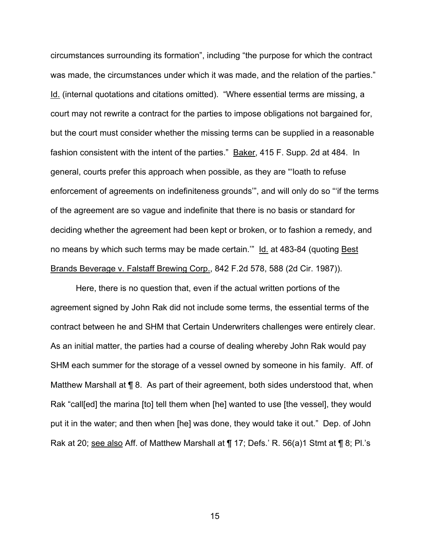circumstances surrounding its formation", including "the purpose for which the contract was made, the circumstances under which it was made, and the relation of the parties." Id. (internal quotations and citations omitted). "Where essential terms are missing, a court may not rewrite a contract for the parties to impose obligations not bargained for, but the court must consider whether the missing terms can be supplied in a reasonable fashion consistent with the intent of the parties." Baker, 415 F. Supp. 2d at 484. In general, courts prefer this approach when possible, as they are "'loath to refuse enforcement of agreements on indefiniteness grounds'", and will only do so "'if the terms of the agreement are so vague and indefinite that there is no basis or standard for deciding whether the agreement had been kept or broken, or to fashion a remedy, and no means by which such terms may be made certain.'" Id. at 483-84 (quoting Best Brands Beverage v. Falstaff Brewing Corp., 842 F.2d 578, 588 (2d Cir. 1987)).

Here, there is no question that, even if the actual written portions of the agreement signed by John Rak did not include some terms, the essential terms of the contract between he and SHM that Certain Underwriters challenges were entirely clear. As an initial matter, the parties had a course of dealing whereby John Rak would pay SHM each summer for the storage of a vessel owned by someone in his family. Aff. of Matthew Marshall at ¶ 8. As part of their agreement, both sides understood that, when Rak "call[ed] the marina [to] tell them when [he] wanted to use [the vessel], they would put it in the water; and then when [he] was done, they would take it out." Dep. of John Rak at 20; see also Aff. of Matthew Marshall at ¶ 17; Defs.' R. 56(a)1 Stmt at ¶ 8; Pl.'s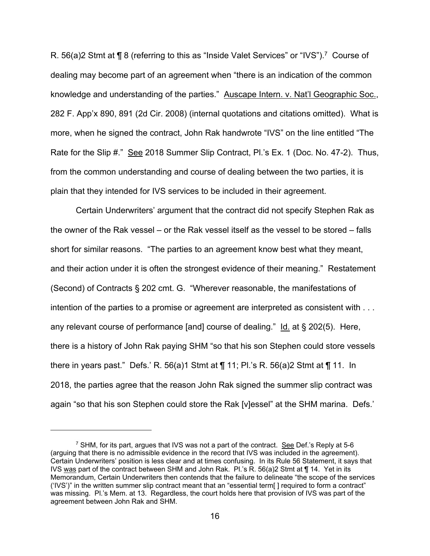R. 56(a)2 Stmt at ¶ 8 (referring to this as "Inside Valet Services" or "IVS").<sup>7</sup> Course of dealing may become part of an agreement when "there is an indication of the common knowledge and understanding of the parties." Auscape Intern. v. Nat'l Geographic Soc., 282 F. App'x 890, 891 (2d Cir. 2008) (internal quotations and citations omitted). What is more, when he signed the contract, John Rak handwrote "IVS" on the line entitled "The Rate for the Slip #." See 2018 Summer Slip Contract, Pl.'s Ex. 1 (Doc. No. 47-2). Thus, from the common understanding and course of dealing between the two parties, it is plain that they intended for IVS services to be included in their agreement.

Certain Underwriters' argument that the contract did not specify Stephen Rak as the owner of the Rak vessel – or the Rak vessel itself as the vessel to be stored – falls short for similar reasons. "The parties to an agreement know best what they meant, and their action under it is often the strongest evidence of their meaning." Restatement (Second) of Contracts § 202 cmt. G. "Wherever reasonable, the manifestations of intention of the parties to a promise or agreement are interpreted as consistent with . . . any relevant course of performance [and] course of dealing."  $\underline{\mathsf{Id}}$  at § 202(5). Here, there is a history of John Rak paying SHM "so that his son Stephen could store vessels there in years past." Defs.' R. 56(a)1 Stmt at  $\P$  11; Pl.'s R. 56(a)2 Stmt at  $\P$  11. In 2018, the parties agree that the reason John Rak signed the summer slip contract was again "so that his son Stephen could store the Rak [v]essel" at the SHM marina. Defs.'

 $^7$  SHM, for its part, argues that IVS was not a part of the contract. See Def.'s Reply at 5-6 (arguing that there is no admissible evidence in the record that IVS was included in the agreement). Certain Underwriters' position is less clear and at times confusing. In its Rule 56 Statement, it says that IVS was part of the contract between SHM and John Rak. Pl.'s R. 56(a)2 Stmt at ¶ 14. Yet in its Memorandum, Certain Underwriters then contends that the failure to delineate "the scope of the services ('IVS')" in the written summer slip contract meant that an "essential term[ ] required to form a contract" was missing. Pl.'s Mem. at 13. Regardless, the court holds here that provision of IVS was part of the agreement between John Rak and SHM.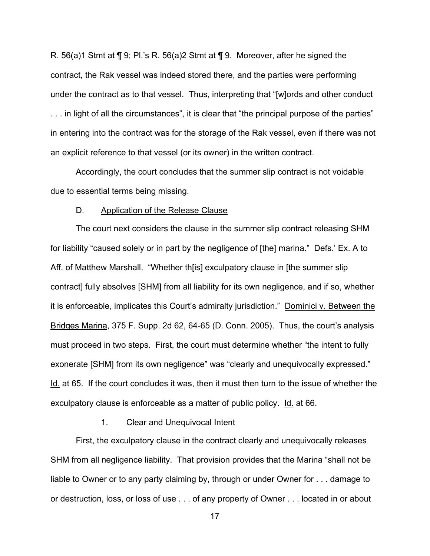R. 56(a)1 Stmt at  $\P$  9; Pl.'s R. 56(a)2 Stmt at  $\P$  9. Moreover, after he signed the contract, the Rak vessel was indeed stored there, and the parties were performing under the contract as to that vessel. Thus, interpreting that "[w]ords and other conduct . . . in light of all the circumstances", it is clear that "the principal purpose of the parties" in entering into the contract was for the storage of the Rak vessel, even if there was not an explicit reference to that vessel (or its owner) in the written contract.

Accordingly, the court concludes that the summer slip contract is not voidable due to essential terms being missing.

#### D. Application of the Release Clause

The court next considers the clause in the summer slip contract releasing SHM for liability "caused solely or in part by the negligence of [the] marina." Defs.' Ex. A to Aff. of Matthew Marshall. "Whether th[is] exculpatory clause in [the summer slip contract] fully absolves [SHM] from all liability for its own negligence, and if so, whether it is enforceable, implicates this Court's admiralty jurisdiction." Dominici v. Between the Bridges Marina, 375 F. Supp. 2d 62, 64-65 (D. Conn. 2005). Thus, the court's analysis must proceed in two steps. First, the court must determine whether "the intent to fully exonerate [SHM] from its own negligence" was "clearly and unequivocally expressed." Id. at 65. If the court concludes it was, then it must then turn to the issue of whether the exculpatory clause is enforceable as a matter of public policy. Id. at 66.

## 1. Clear and Unequivocal Intent

First, the exculpatory clause in the contract clearly and unequivocally releases SHM from all negligence liability. That provision provides that the Marina "shall not be liable to Owner or to any party claiming by, through or under Owner for . . . damage to or destruction, loss, or loss of use . . . of any property of Owner . . . located in or about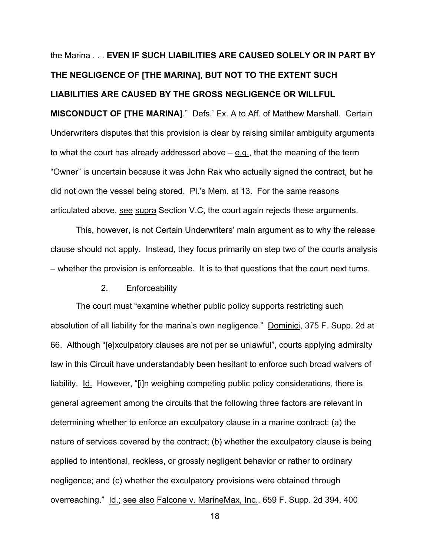# the Marina . . . **EVEN IF SUCH LIABILITIES ARE CAUSED SOLELY OR IN PART BY THE NEGLIGENCE OF [THE MARINA], BUT NOT TO THE EXTENT SUCH LIABILITIES ARE CAUSED BY THE GROSS NEGLIGENCE OR WILLFUL MISCONDUCT OF [THE MARINA]**." Defs.' Ex. A to Aff. of Matthew Marshall. Certain Underwriters disputes that this provision is clear by raising similar ambiguity arguments to what the court has already addressed above – e.g., that the meaning of the term "Owner" is uncertain because it was John Rak who actually signed the contract, but he did not own the vessel being stored. Pl.'s Mem. at 13. For the same reasons articulated above, see supra Section V.C, the court again rejects these arguments.

This, however, is not Certain Underwriters' main argument as to why the release clause should not apply. Instead, they focus primarily on step two of the courts analysis – whether the provision is enforceable. It is to that questions that the court next turns.

#### 2. Enforceability

The court must "examine whether public policy supports restricting such absolution of all liability for the marina's own negligence." Dominici, 375 F. Supp. 2d at 66. Although "[e]xculpatory clauses are not per se unlawful", courts applying admiralty law in this Circuit have understandably been hesitant to enforce such broad waivers of liability. Id. However, "[i]n weighing competing public policy considerations, there is general agreement among the circuits that the following three factors are relevant in determining whether to enforce an exculpatory clause in a marine contract: (a) the nature of services covered by the contract; (b) whether the exculpatory clause is being applied to intentional, reckless, or grossly negligent behavior or rather to ordinary negligence; and (c) whether the exculpatory provisions were obtained through overreaching." Id.; see also Falcone v. MarineMax, Inc., 659 F. Supp. 2d 394, 400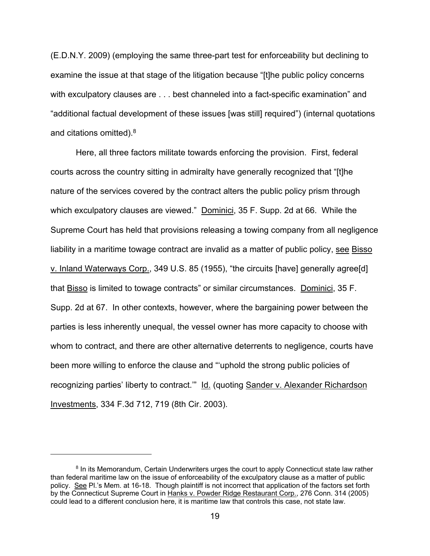(E.D.N.Y. 2009) (employing the same three-part test for enforceability but declining to examine the issue at that stage of the litigation because "[t]he public policy concerns with exculpatory clauses are . . . best channeled into a fact-specific examination" and "additional factual development of these issues [was still] required") (internal quotations and citations omitted).8

Here, all three factors militate towards enforcing the provision. First, federal courts across the country sitting in admiralty have generally recognized that "[t]he nature of the services covered by the contract alters the public policy prism through which exculpatory clauses are viewed." Dominici, 35 F. Supp. 2d at 66. While the Supreme Court has held that provisions releasing a towing company from all negligence liability in a maritime towage contract are invalid as a matter of public policy, see Bisso v. Inland Waterways Corp., 349 U.S. 85 (1955), "the circuits [have] generally agree[d] that Bisso is limited to towage contracts" or similar circumstances. Dominici, 35 F. Supp. 2d at 67. In other contexts, however, where the bargaining power between the parties is less inherently unequal, the vessel owner has more capacity to choose with whom to contract, and there are other alternative deterrents to negligence, courts have been more willing to enforce the clause and "'uphold the strong public policies of recognizing parties' liberty to contract." Id. (quoting Sander v. Alexander Richardson Investments, 334 F.3d 712, 719 (8th Cir. 2003).

<sup>&</sup>lt;sup>8</sup> In its Memorandum, Certain Underwriters urges the court to apply Connecticut state law rather than federal maritime law on the issue of enforceability of the exculpatory clause as a matter of public policy. See Pl.'s Mem. at 16-18. Though plaintiff is not incorrect that application of the factors set forth by the Connecticut Supreme Court in Hanks v. Powder Ridge Restaurant Corp., 276 Conn. 314 (2005) could lead to a different conclusion here, it is maritime law that controls this case, not state law.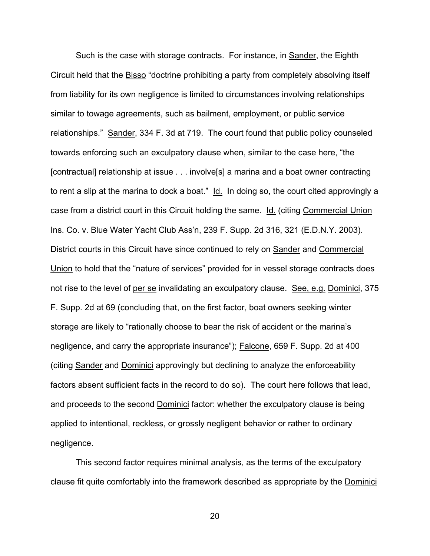Such is the case with storage contracts. For instance, in Sander, the Eighth Circuit held that the Bisso "doctrine prohibiting a party from completely absolving itself from liability for its own negligence is limited to circumstances involving relationships similar to towage agreements, such as bailment, employment, or public service relationships." Sander, 334 F. 3d at 719. The court found that public policy counseled towards enforcing such an exculpatory clause when, similar to the case here, "the [contractual] relationship at issue . . . involve[s] a marina and a boat owner contracting to rent a slip at the marina to dock a boat." Id. In doing so, the court cited approvingly a case from a district court in this Circuit holding the same. Id. (citing Commercial Union Ins. Co. v. Blue Water Yacht Club Ass'n, 239 F. Supp. 2d 316, 321 (E.D.N.Y. 2003). District courts in this Circuit have since continued to rely on Sander and Commercial Union to hold that the "nature of services" provided for in vessel storage contracts does not rise to the level of per se invalidating an exculpatory clause. See, e.g. Dominici, 375 F. Supp. 2d at 69 (concluding that, on the first factor, boat owners seeking winter storage are likely to "rationally choose to bear the risk of accident or the marina's negligence, and carry the appropriate insurance"); Falcone, 659 F. Supp. 2d at 400 (citing Sander and Dominici approvingly but declining to analyze the enforceability factors absent sufficient facts in the record to do so). The court here follows that lead, and proceeds to the second Dominici factor: whether the exculpatory clause is being applied to intentional, reckless, or grossly negligent behavior or rather to ordinary negligence.

This second factor requires minimal analysis, as the terms of the exculpatory clause fit quite comfortably into the framework described as appropriate by the Dominici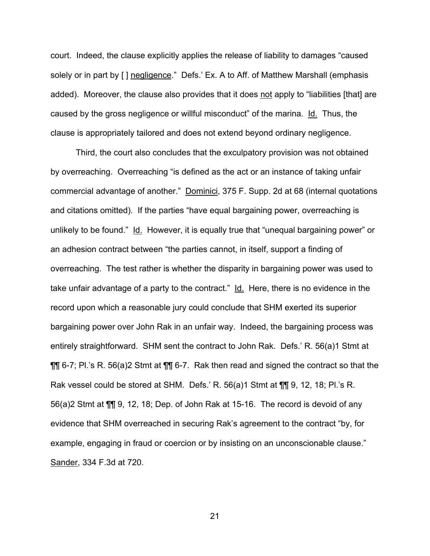court. Indeed, the clause explicitly applies the release of liability to damages "caused solely or in part by [ ] negligence." Defs.' Ex. A to Aff. of Matthew Marshall (emphasis added). Moreover, the clause also provides that it does not apply to "liabilities [that] are caused by the gross negligence or willful misconduct" of the marina. Id. Thus, the clause is appropriately tailored and does not extend beyond ordinary negligence.

Third, the court also concludes that the exculpatory provision was not obtained by overreaching. Overreaching "is defined as the act or an instance of taking unfair commercial advantage of another." Dominici, 375 F. Supp. 2d at 68 (internal quotations and citations omitted). If the parties "have equal bargaining power, overreaching is unlikely to be found." Id. However, it is equally true that "unequal bargaining power" or an adhesion contract between "the parties cannot, in itself, support a finding of overreaching. The test rather is whether the disparity in bargaining power was used to take unfair advantage of a party to the contract." Id. Here, there is no evidence in the record upon which a reasonable jury could conclude that SHM exerted its superior bargaining power over John Rak in an unfair way. Indeed, the bargaining process was entirely straightforward. SHM sent the contract to John Rak. Defs.' R. 56(a)1 Stmt at ¶¶ 6-7; Pl.'s R. 56(a)2 Stmt at ¶¶ 6-7. Rak then read and signed the contract so that the Rak vessel could be stored at SHM. Defs.' R. 56(a)1 Stmt at ¶¶ 9, 12, 18; Pl.'s R. 56(a)2 Stmt at ¶¶ 9, 12, 18; Dep. of John Rak at 15-16. The record is devoid of any evidence that SHM overreached in securing Rak's agreement to the contract "by, for example, engaging in fraud or coercion or by insisting on an unconscionable clause." Sander, 334 F.3d at 720.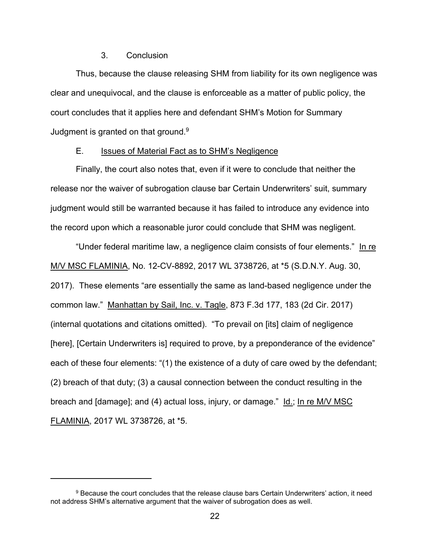## 3. Conclusion

Thus, because the clause releasing SHM from liability for its own negligence was clear and unequivocal, and the clause is enforceable as a matter of public policy, the court concludes that it applies here and defendant SHM's Motion for Summary Judgment is granted on that ground.<sup>9</sup>

## E. Issues of Material Fact as to SHM's Negligence

Finally, the court also notes that, even if it were to conclude that neither the release nor the waiver of subrogation clause bar Certain Underwriters' suit, summary judgment would still be warranted because it has failed to introduce any evidence into the record upon which a reasonable juror could conclude that SHM was negligent.

"Under federal maritime law, a negligence claim consists of four elements." In re M/V MSC FLAMINIA, No. 12-CV-8892, 2017 WL 3738726, at \*5 (S.D.N.Y. Aug. 30, 2017). These elements "are essentially the same as land-based negligence under the common law." Manhattan by Sail, Inc. v. Tagle, 873 F.3d 177, 183 (2d Cir. 2017) (internal quotations and citations omitted). "To prevail on [its] claim of negligence [here], [Certain Underwriters is] required to prove, by a preponderance of the evidence" each of these four elements: "(1) the existence of a duty of care owed by the defendant; (2) breach of that duty; (3) a causal connection between the conduct resulting in the breach and [damage]; and (4) actual loss, injury, or damage." Id.; In re M/V MSC FLAMINIA, 2017 WL 3738726, at \*5.

<sup>&</sup>lt;sup>9</sup> Because the court concludes that the release clause bars Certain Underwriters' action, it need not address SHM's alternative argument that the waiver of subrogation does as well.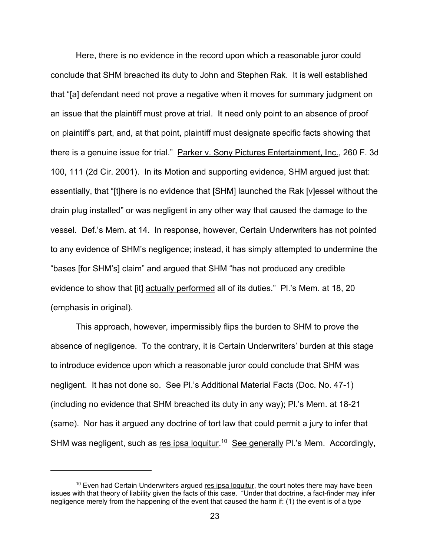Here, there is no evidence in the record upon which a reasonable juror could conclude that SHM breached its duty to John and Stephen Rak. It is well established that "[a] defendant need not prove a negative when it moves for summary judgment on an issue that the plaintiff must prove at trial. It need only point to an absence of proof on plaintiff's part, and, at that point, plaintiff must designate specific facts showing that there is a genuine issue for trial." Parker v. Sony Pictures Entertainment, Inc., 260 F. 3d 100, 111 (2d Cir. 2001). In its Motion and supporting evidence, SHM argued just that: essentially, that "[t]here is no evidence that [SHM] launched the Rak [v]essel without the drain plug installed" or was negligent in any other way that caused the damage to the vessel. Def.'s Mem. at 14. In response, however, Certain Underwriters has not pointed to any evidence of SHM's negligence; instead, it has simply attempted to undermine the "bases [for SHM's] claim" and argued that SHM "has not produced any credible evidence to show that [it] actually performed all of its duties." Pl.'s Mem. at 18, 20 (emphasis in original).

This approach, however, impermissibly flips the burden to SHM to prove the absence of negligence. To the contrary, it is Certain Underwriters' burden at this stage to introduce evidence upon which a reasonable juror could conclude that SHM was negligent. It has not done so. See Pl.'s Additional Material Facts (Doc. No. 47-1) (including no evidence that SHM breached its duty in any way); Pl.'s Mem. at 18-21 (same). Nor has it argued any doctrine of tort law that could permit a jury to infer that SHM was negligent, such as res ipsa loquitur.<sup>10</sup> See generally Pl.'s Mem. Accordingly,

 $10$  Even had Certain Underwriters argued res ipsa loquitur, the court notes there may have been issues with that theory of liability given the facts of this case. "Under that doctrine, a fact-finder may infer negligence merely from the happening of the event that caused the harm if: (1) the event is of a type